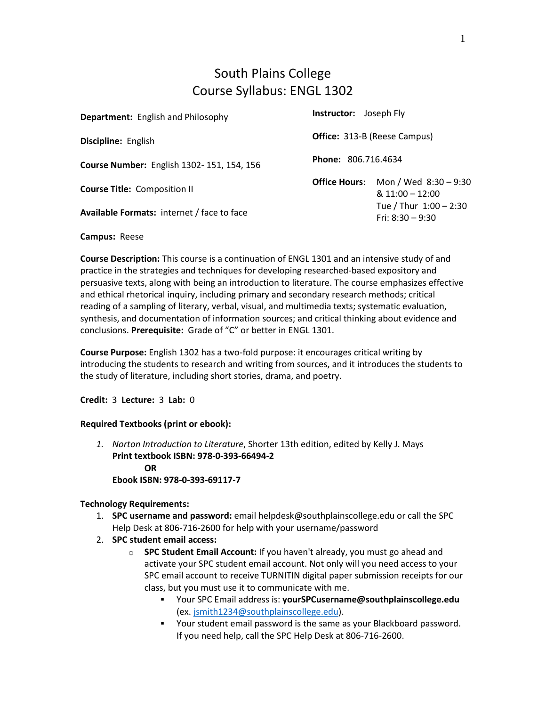### South Plains College Course Syllabus: ENGL 1302

| <b>Department:</b> English and Philosophy         | <b>Instructor:</b> Joseph Fly       |                                              |
|---------------------------------------------------|-------------------------------------|----------------------------------------------|
| Discipline: English                               | <b>Office:</b> 313-B (Reese Campus) |                                              |
| Course Number: English 1302-151, 154, 156         | <b>Phone: 806.716.4634</b>          |                                              |
| <b>Course Title: Composition II</b>               | <b>Office Hours:</b>                | Mon / Wed 8:30 - 9:30<br>$& 11:00 - 12:00$   |
| <b>Available Formats: internet / face to face</b> |                                     | Tue / Thur 1:00 - 2:30<br>Fri: $8:30 - 9:30$ |

#### **Campus:** Reese

**Course Description:** This course is a continuation of ENGL 1301 and an intensive study of and practice in the strategies and techniques for developing researched-based expository and persuasive texts, along with being an introduction to literature. The course emphasizes effective and ethical rhetorical inquiry, including primary and secondary research methods; critical reading of a sampling of literary, verbal, visual, and multimedia texts; systematic evaluation, synthesis, and documentation of information sources; and critical thinking about evidence and conclusions. **Prerequisite:** Grade of "C" or better in ENGL 1301.

**Course Purpose:** English 1302 has a two-fold purpose: it encourages critical writing by introducing the students to research and writing from sources, and it introduces the students to the study of literature, including short stories, drama, and poetry.

**Credit:** 3 **Lecture:** 3 **Lab:** 0

#### **Required Textbooks (print or ebook):**

*1. Norton Introduction to Literature*, Shorter 13th edition, edited by Kelly J. Mays **Print textbook ISBN: 978-0-393-66494-2 OR Ebook ISBN: 978-0-393-69117-7**

#### **Technology Requirements:**

- 1. **SPC username and password:** email helpdesk@southplainscollege.edu or call the SPC Help Desk at 806-716-2600 for help with your username/password
- 2. **SPC student email access:**
	- o **SPC Student Email Account:** If you haven't already, you must go ahead and activate your SPC student email account. Not only will you need access to your SPC email account to receive TURNITIN digital paper submission receipts for our class, but you must use it to communicate with me.
		- Your SPC Email address is: **yourSPCusername@southplainscollege.edu** (ex. [jsmith1234@southplainscollege.edu\)](mailto:jsmith1234@southplainscollege.edu).
		- Your student email password is the same as your Blackboard password. If you need help, call the SPC Help Desk at 806-716-2600.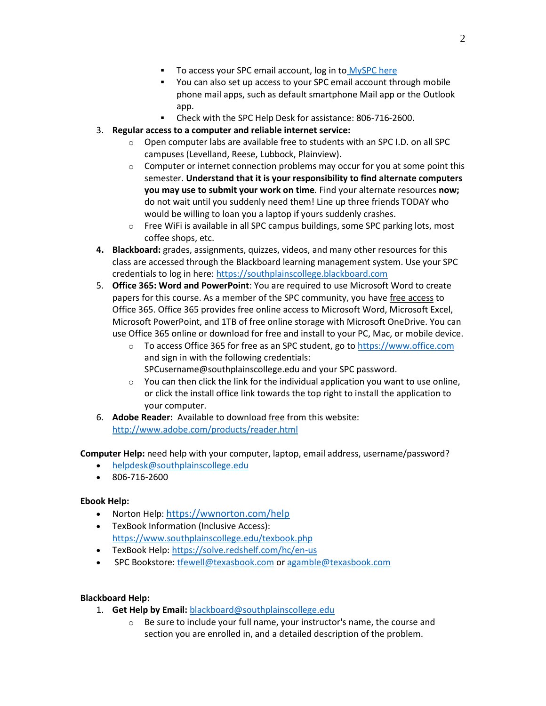- To access your SPC email account, log in to [MySPC here](https://fs.southplainscollege.edu/adfs/ls?wa=wsignin1.0&wtrealm=urn%3aportal.southplainscollege.edu%3a443&wctx=https%3a%2f%2fportal.southplainscollege.edu%2f_layouts%2f15%2fAuthenticate.aspx%3fSource%3d%252F&wreply=https%3a%2f%2fportal.southplainscollege.edu%2f_trust%2fdefault.aspx)
- You can also set up access to your SPC email account through mobile phone mail apps, such as default smartphone Mail app or the Outlook app.
- Check with the SPC Help Desk for assistance: 806-716-2600.

#### 3. **Regular access to a computer and reliable internet service:**

- o Open computer labs are available free to students with an SPC I.D. on all SPC campuses (Levelland, Reese, Lubbock, Plainview).
- $\circ$  Computer or internet connection problems may occur for you at some point this semester. **Understand that it is your responsibility to find alternate computers you may use to submit your work on time***.* Find your alternate resources **now;** do not wait until you suddenly need them! Line up three friends TODAY who would be willing to loan you a laptop if yours suddenly crashes.
- $\circ$  Free WiFi is available in all SPC campus buildings, some SPC parking lots, most coffee shops, etc.
- **4. Blackboard:** grades, assignments, quizzes, videos, and many other resources for this class are accessed through the Blackboard learning management system. Use your SPC credentials to log in here[: https://southplainscollege.blackboard.com](https://southplainscollege.blackboard.com/)
- 5. **Office 365: Word and PowerPoint**: You are required to use Microsoft Word to create papers for this course. As a member of the SPC community, you have free access to Office 365. Office 365 provides free online access to Microsoft Word, Microsoft Excel, Microsoft PowerPoint, and 1TB of free online storage with Microsoft OneDrive. You can use Office 365 online or download for free and install to your PC, Mac, or mobile device.
	- $\circ$  To access Office 365 for free as an SPC student, go to [https://www.office.com](https://www.office.com/) and sign in with the following credentials: SPCusername@southplainscollege.edu and your SPC password.
	- o You can then click the link for the individual application you want to use online, or click the install office link towards the top right to install the application to your computer.
- 6. **Adobe Reader:** Available to download free from this website: <http://www.adobe.com/products/reader.html>

**Computer Help:** need help with your computer, laptop, email address, username/password?

- [helpdesk@southplainscollege.edu](mailto:helpdesk@southplainscollege.edu)
- 806-716-2600

#### **Ebook Help:**

- Norton Help: <https://wwnorton.com/help>
- TexBook Information (Inclusive Access): <https://www.southplainscollege.edu/texbook.php>
- TexBook Help[: https://solve.redshelf.com/hc/en-us](https://solve.redshelf.com/hc/en-us)
- SPC Bookstore[: tfewell@texasbook.com](mailto:tfewell@texasbook.com) or [agamble@texasbook.com](mailto:agamble@texasbook.com)

#### **Blackboard Help:**

- 1. **Get Help by Email:** [blackboard@southplainscollege.edu](mailto:blackboard@southplainscollege.edu)
	- o Be sure to include your full name, your instructor's name, the course and section you are enrolled in, and a detailed description of the problem.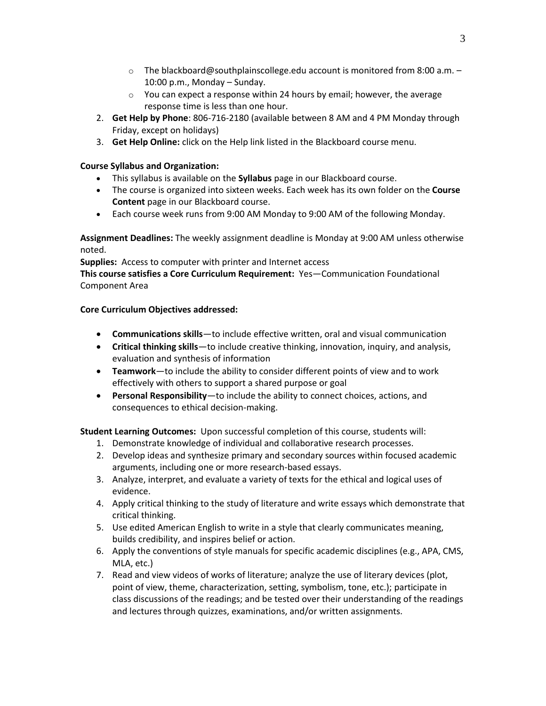- $\circ$  The blackboard@southplainscollege.edu account is monitored from 8:00 a.m. 10:00 p.m., Monday – Sunday.
- $\circ$  You can expect a response within 24 hours by email; however, the average response time is less than one hour.
- 2. **Get Help by Phone**: 806-716-2180 (available between 8 AM and 4 PM Monday through Friday, except on holidays)
- 3. **Get Help Online:** click on the Help link listed in the Blackboard course menu.

#### **Course Syllabus and Organization:**

- This syllabus is available on the **Syllabus** page in our Blackboard course.
- The course is organized into sixteen weeks. Each week has its own folder on the **Course Content** page in our Blackboard course.
- Each course week runs from 9:00 AM Monday to 9:00 AM of the following Monday.

**Assignment Deadlines:** The weekly assignment deadline is Monday at 9:00 AM unless otherwise noted.

**Supplies:** Access to computer with printer and Internet access

**This course satisfies a Core Curriculum Requirement:** Yes—Communication Foundational Component Area

#### **Core Curriculum Objectives addressed:**

- **Communications skills**—to include effective written, oral and visual communication
- **Critical thinking skills**—to include creative thinking, innovation, inquiry, and analysis, evaluation and synthesis of information
- **Teamwork**—to include the ability to consider different points of view and to work effectively with others to support a shared purpose or goal
- **Personal Responsibility**—to include the ability to connect choices, actions, and consequences to ethical decision-making.

**Student Learning Outcomes:** Upon successful completion of this course, students will:

- 1. Demonstrate knowledge of individual and collaborative research processes.
- 2. Develop ideas and synthesize primary and secondary sources within focused academic arguments, including one or more research-based essays.
- 3. Analyze, interpret, and evaluate a variety of texts for the ethical and logical uses of evidence.
- 4. Apply critical thinking to the study of literature and write essays which demonstrate that critical thinking.
- 5. Use edited American English to write in a style that clearly communicates meaning, builds credibility, and inspires belief or action.
- 6. Apply the conventions of style manuals for specific academic disciplines (e.g., APA, CMS, MLA, etc.)
- 7. Read and view videos of works of literature; analyze the use of literary devices (plot, point of view, theme, characterization, setting, symbolism, tone, etc.); participate in class discussions of the readings; and be tested over their understanding of the readings and lectures through quizzes, examinations, and/or written assignments.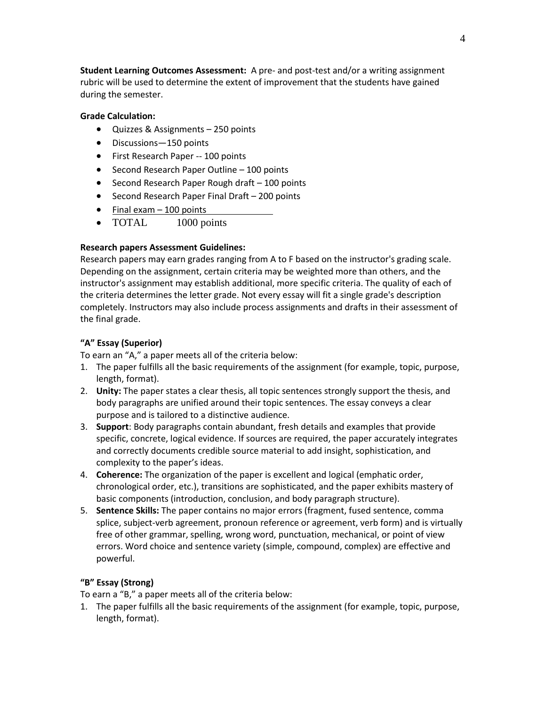**Student Learning Outcomes Assessment:** A pre- and post-test and/or a writing assignment rubric will be used to determine the extent of improvement that the students have gained during the semester.

#### **Grade Calculation:**

- Quizzes & Assignments 250 points
- Discussions—150 points
- First Research Paper -- 100 points
- Second Research Paper Outline 100 points
- Second Research Paper Rough draft 100 points
- Second Research Paper Final Draft 200 points
- Final exam 100 points
- TOTAL 1000 points

#### **Research papers Assessment Guidelines:**

Research papers may earn grades ranging from A to F based on the instructor's grading scale. Depending on the assignment, certain criteria may be weighted more than others, and the instructor's assignment may establish additional, more specific criteria. The quality of each of the criteria determines the letter grade. Not every essay will fit a single grade's description completely. Instructors may also include process assignments and drafts in their assessment of the final grade.

#### **"A" Essay (Superior)**

To earn an "A," a paper meets all of the criteria below:

- 1. The paper fulfills all the basic requirements of the assignment (for example, topic, purpose, length, format).
- 2. **Unity:** The paper states a clear thesis, all topic sentences strongly support the thesis, and body paragraphs are unified around their topic sentences. The essay conveys a clear purpose and is tailored to a distinctive audience.
- 3. **Support**: Body paragraphs contain abundant, fresh details and examples that provide specific, concrete, logical evidence. If sources are required, the paper accurately integrates and correctly documents credible source material to add insight, sophistication, and complexity to the paper's ideas.
- 4. **Coherence:** The organization of the paper is excellent and logical (emphatic order, chronological order, etc.), transitions are sophisticated, and the paper exhibits mastery of basic components (introduction, conclusion, and body paragraph structure).
- 5. **Sentence Skills:** The paper contains no major errors (fragment, fused sentence, comma splice, subject-verb agreement, pronoun reference or agreement, verb form) and is virtually free of other grammar, spelling, wrong word, punctuation, mechanical, or point of view errors. Word choice and sentence variety (simple, compound, complex) are effective and powerful.

#### **"B" Essay (Strong)**

To earn a "B," a paper meets all of the criteria below:

1. The paper fulfills all the basic requirements of the assignment (for example, topic, purpose, length, format).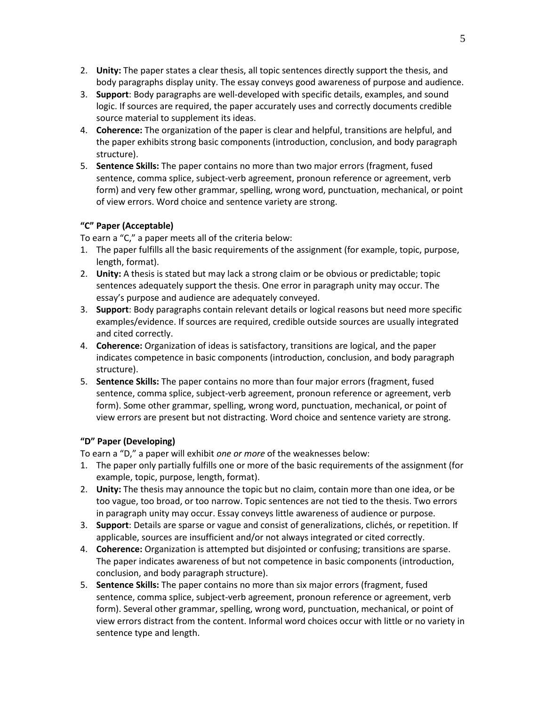- 2. **Unity:** The paper states a clear thesis, all topic sentences directly support the thesis, and body paragraphs display unity. The essay conveys good awareness of purpose and audience.
- 3. **Support**: Body paragraphs are well-developed with specific details, examples, and sound logic. If sources are required, the paper accurately uses and correctly documents credible source material to supplement its ideas.
- 4. **Coherence:** The organization of the paper is clear and helpful, transitions are helpful, and the paper exhibits strong basic components (introduction, conclusion, and body paragraph structure).
- 5. **Sentence Skills:** The paper contains no more than two major errors (fragment, fused sentence, comma splice, subject-verb agreement, pronoun reference or agreement, verb form) and very few other grammar, spelling, wrong word, punctuation, mechanical, or point of view errors. Word choice and sentence variety are strong.

#### **"C" Paper (Acceptable)**

To earn a "C," a paper meets all of the criteria below:

- 1. The paper fulfills all the basic requirements of the assignment (for example, topic, purpose, length, format).
- 2. **Unity:** A thesis is stated but may lack a strong claim or be obvious or predictable; topic sentences adequately support the thesis. One error in paragraph unity may occur. The essay's purpose and audience are adequately conveyed.
- 3. **Support**: Body paragraphs contain relevant details or logical reasons but need more specific examples/evidence. If sources are required, credible outside sources are usually integrated and cited correctly.
- 4. **Coherence:** Organization of ideas is satisfactory, transitions are logical, and the paper indicates competence in basic components (introduction, conclusion, and body paragraph structure).
- 5. **Sentence Skills:** The paper contains no more than four major errors (fragment, fused sentence, comma splice, subject-verb agreement, pronoun reference or agreement, verb form). Some other grammar, spelling, wrong word, punctuation, mechanical, or point of view errors are present but not distracting. Word choice and sentence variety are strong.

#### **"D" Paper (Developing)**

To earn a "D," a paper will exhibit *one or more* of the weaknesses below:

- 1. The paper only partially fulfills one or more of the basic requirements of the assignment (for example, topic, purpose, length, format).
- 2. **Unity:** The thesis may announce the topic but no claim, contain more than one idea, or be too vague, too broad, or too narrow. Topic sentences are not tied to the thesis. Two errors in paragraph unity may occur. Essay conveys little awareness of audience or purpose.
- 3. **Support**: Details are sparse or vague and consist of generalizations, clichés, or repetition. If applicable, sources are insufficient and/or not always integrated or cited correctly.
- 4. **Coherence:** Organization is attempted but disjointed or confusing; transitions are sparse. The paper indicates awareness of but not competence in basic components (introduction, conclusion, and body paragraph structure).
- 5. **Sentence Skills:** The paper contains no more than six major errors (fragment, fused sentence, comma splice, subject-verb agreement, pronoun reference or agreement, verb form). Several other grammar, spelling, wrong word, punctuation, mechanical, or point of view errors distract from the content. Informal word choices occur with little or no variety in sentence type and length.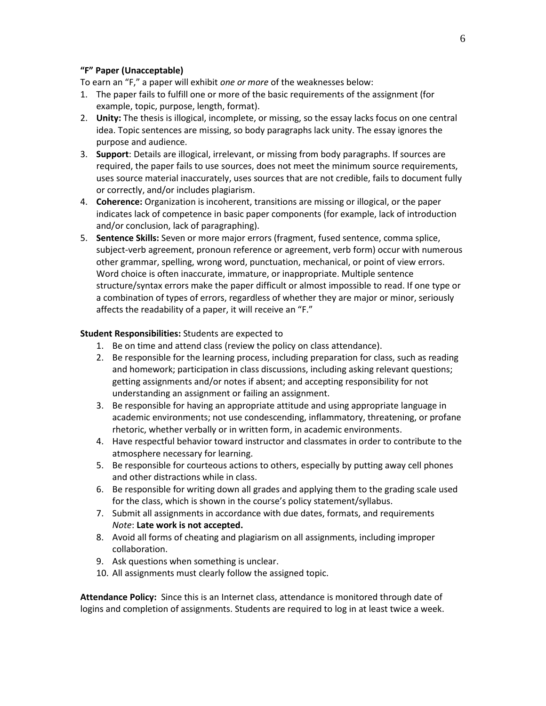#### **"F" Paper (Unacceptable)**

To earn an "F," a paper will exhibit *one or more* of the weaknesses below:

- 1. The paper fails to fulfill one or more of the basic requirements of the assignment (for example, topic, purpose, length, format).
- 2. **Unity:** The thesis is illogical, incomplete, or missing, so the essay lacks focus on one central idea. Topic sentences are missing, so body paragraphs lack unity. The essay ignores the purpose and audience.
- 3. **Support**: Details are illogical, irrelevant, or missing from body paragraphs. If sources are required, the paper fails to use sources, does not meet the minimum source requirements, uses source material inaccurately, uses sources that are not credible, fails to document fully or correctly, and/or includes plagiarism.
- 4. **Coherence:** Organization is incoherent, transitions are missing or illogical, or the paper indicates lack of competence in basic paper components (for example, lack of introduction and/or conclusion, lack of paragraphing).
- 5. **Sentence Skills:** Seven or more major errors (fragment, fused sentence, comma splice, subject-verb agreement, pronoun reference or agreement, verb form) occur with numerous other grammar, spelling, wrong word, punctuation, mechanical, or point of view errors. Word choice is often inaccurate, immature, or inappropriate. Multiple sentence structure/syntax errors make the paper difficult or almost impossible to read. If one type or a combination of types of errors, regardless of whether they are major or minor, seriously affects the readability of a paper, it will receive an "F."

#### **Student Responsibilities:** Students are expected to

- 1. Be on time and attend class (review the policy on class attendance).
- 2. Be responsible for the learning process, including preparation for class, such as reading and homework; participation in class discussions, including asking relevant questions; getting assignments and/or notes if absent; and accepting responsibility for not understanding an assignment or failing an assignment.
- 3. Be responsible for having an appropriate attitude and using appropriate language in academic environments; not use condescending, inflammatory, threatening, or profane rhetoric, whether verbally or in written form, in academic environments.
- 4. Have respectful behavior toward instructor and classmates in order to contribute to the atmosphere necessary for learning.
- 5. Be responsible for courteous actions to others, especially by putting away cell phones and other distractions while in class.
- 6. Be responsible for writing down all grades and applying them to the grading scale used for the class, which is shown in the course's policy statement/syllabus.
- 7. Submit all assignments in accordance with due dates, formats, and requirements *Note*: **Late work is not accepted.**
- 8. Avoid all forms of cheating and plagiarism on all assignments, including improper collaboration.
- 9. Ask questions when something is unclear.
- 10. All assignments must clearly follow the assigned topic.

**Attendance Policy:** Since this is an Internet class, attendance is monitored through date of logins and completion of assignments. Students are required to log in at least twice a week.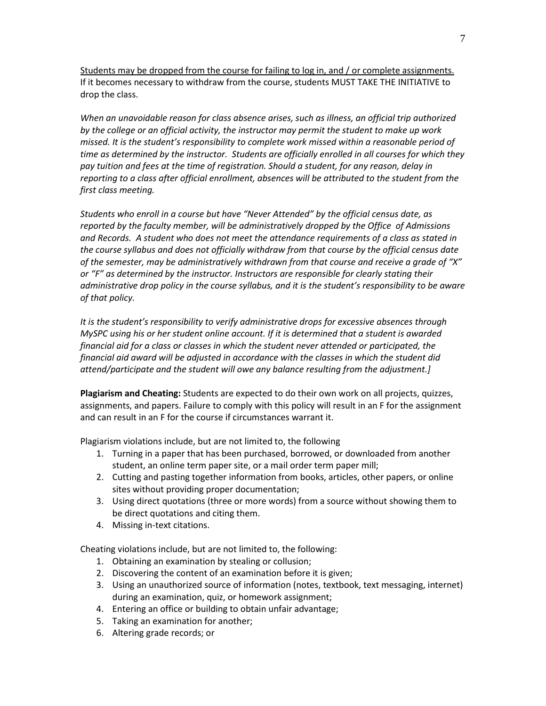Students may be dropped from the course for failing to log in, and / or complete assignments. If it becomes necessary to withdraw from the course, students MUST TAKE THE INITIATIVE to drop the class.

*When an unavoidable reason for class absence arises, such as illness, an official trip authorized by the college or an official activity, the instructor may permit the student to make up work missed. It is the student's responsibility to complete work missed within a reasonable period of time as determined by the instructor. Students are officially enrolled in all courses for which they pay tuition and fees at the time of registration. Should a student, for any reason, delay in reporting to a class after official enrollment, absences will be attributed to the student from the first class meeting.*

*Students who enroll in a course but have "Never Attended" by the official census date, as reported by the faculty member, will be administratively dropped by the Office of Admissions and Records. A student who does not meet the attendance requirements of a class as stated in the course syllabus and does not officially withdraw from that course by the official census date of the semester, may be administratively withdrawn from that course and receive a grade of "X" or "F" as determined by the instructor. Instructors are responsible for clearly stating their administrative drop policy in the course syllabus, and it is the student's responsibility to be aware of that policy.* 

*It is the student's responsibility to verify administrative drops for excessive absences through MySPC using his or her student online account. If it is determined that a student is awarded financial aid for a class or classes in which the student never attended or participated, the financial aid award will be adjusted in accordance with the classes in which the student did attend/participate and the student will owe any balance resulting from the adjustment.]* 

**Plagiarism and Cheating:** Students are expected to do their own work on all projects, quizzes, assignments, and papers. Failure to comply with this policy will result in an F for the assignment and can result in an F for the course if circumstances warrant it.

Plagiarism violations include, but are not limited to, the following

- 1. Turning in a paper that has been purchased, borrowed, or downloaded from another student, an online term paper site, or a mail order term paper mill;
- 2. Cutting and pasting together information from books, articles, other papers, or online sites without providing proper documentation;
- 3. Using direct quotations (three or more words) from a source without showing them to be direct quotations and citing them.
- 4. Missing in-text citations.

Cheating violations include, but are not limited to, the following:

- 1. Obtaining an examination by stealing or collusion;
- 2. Discovering the content of an examination before it is given;
- 3. Using an unauthorized source of information (notes, textbook, text messaging, internet) during an examination, quiz, or homework assignment;
- 4. Entering an office or building to obtain unfair advantage;
- 5. Taking an examination for another;
- 6. Altering grade records; or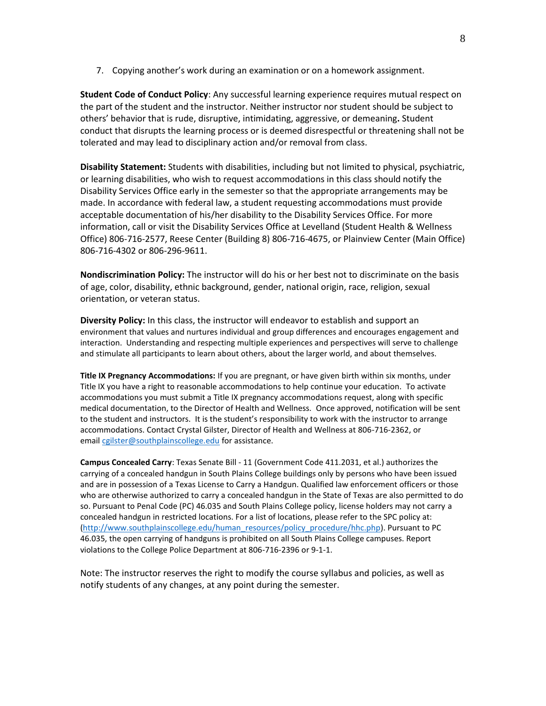7. Copying another's work during an examination or on a homework assignment.

**Student Code of Conduct Policy**: Any successful learning experience requires mutual respect on the part of the student and the instructor. Neither instructor nor student should be subject to others' behavior that is rude, disruptive, intimidating, aggressive, or demeaning**.** Student conduct that disrupts the learning process or is deemed disrespectful or threatening shall not be tolerated and may lead to disciplinary action and/or removal from class.

**Disability Statement:** Students with disabilities, including but not limited to physical, psychiatric, or learning disabilities, who wish to request accommodations in this class should notify the Disability Services Office early in the semester so that the appropriate arrangements may be made. In accordance with federal law, a student requesting accommodations must provide acceptable documentation of his/her disability to the Disability Services Office. For more information, call or visit the Disability Services Office at Levelland (Student Health & Wellness Office) 806-716-2577, Reese Center (Building 8) 806-716-4675, or Plainview Center (Main Office) 806-716-4302 or 806-296-9611.

**Nondiscrimination Policy:** The instructor will do his or her best not to discriminate on the basis of age, color, disability, ethnic background, gender, national origin, race, religion, sexual orientation, or veteran status.

**Diversity Policy:** In this class, the instructor will endeavor to establish and support an environment that values and nurtures individual and group differences and encourages engagement and interaction. Understanding and respecting multiple experiences and perspectives will serve to challenge and stimulate all participants to learn about others, about the larger world, and about themselves.

**Title IX Pregnancy Accommodations:** If you are pregnant, or have given birth within six months, under Title IX you have a right to reasonable accommodations to help continue your education. To activate accommodations you must submit a Title IX pregnancy accommodations request, along with specific medical documentation, to the Director of Health and Wellness. Once approved, notification will be sent to the student and instructors. It is the student's responsibility to work with the instructor to arrange accommodations. Contact Crystal Gilster, Director of Health and Wellness at 806-716-2362, or email [cgilster@southplainscollege.edu](mailto:cgilster@southplainscollege.edu) for assistance.

**Campus Concealed Carry**: Texas Senate Bill - 11 (Government Code 411.2031, et al.) authorizes the carrying of a concealed handgun in South Plains College buildings only by persons who have been issued and are in possession of a Texas License to Carry a Handgun. Qualified law enforcement officers or those who are otherwise authorized to carry a concealed handgun in the State of Texas are also permitted to do so. Pursuant to Penal Code (PC) 46.035 and South Plains College policy, license holders may not carry a concealed handgun in restricted locations. For a list of locations, please refer to the SPC policy at: [\(http://www.southplainscollege.edu/human\\_resources/policy\\_procedure/hhc.php\)](http://www.southplainscollege.edu/human_resources/policy_procedure/hhc.php). Pursuant to PC 46.035, the open carrying of handguns is prohibited on all South Plains College campuses. Report violations to the College Police Department at 806-716-2396 or 9-1-1.

Note: The instructor reserves the right to modify the course syllabus and policies, as well as notify students of any changes, at any point during the semester.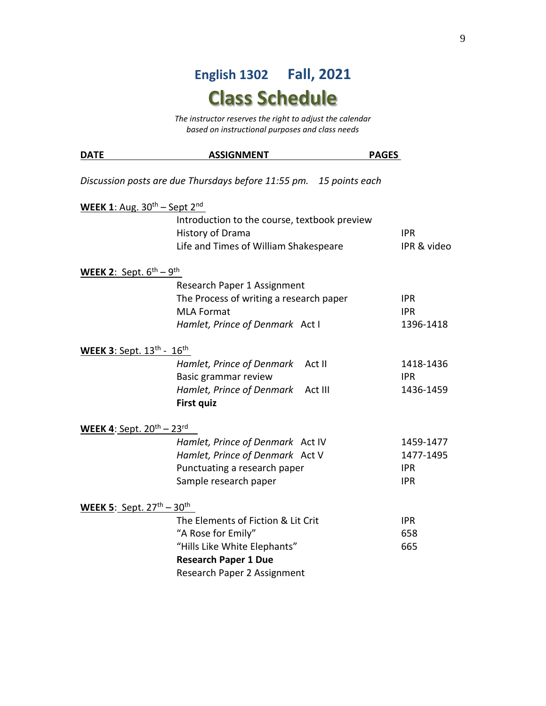# **English 1302 Fall, 2021 Class Schedule**

*The instructor reserves the right to adjust the calendar based on instructional purposes and class needs*

| <b>DATE</b>                                     | <b>ASSIGNMENT</b>                                                  | <b>PAGES</b> |             |
|-------------------------------------------------|--------------------------------------------------------------------|--------------|-------------|
|                                                 | Discussion posts are due Thursdays before 11:55 pm. 15 points each |              |             |
| WEEK 1: Aug. $30th$ – Sept 2 <sup>nd</sup>      |                                                                    |              |             |
|                                                 | Introduction to the course, textbook preview                       |              |             |
|                                                 | History of Drama                                                   |              | <b>IPR</b>  |
|                                                 | Life and Times of William Shakespeare                              |              | IPR & video |
| WEEK 2: Sept. $6^{\text{th}} - 9^{\text{th}}$   |                                                                    |              |             |
|                                                 | Research Paper 1 Assignment                                        |              |             |
|                                                 | The Process of writing a research paper                            |              | <b>IPR</b>  |
|                                                 | <b>MLA Format</b>                                                  |              | <b>IPR</b>  |
|                                                 | Hamlet, Prince of Denmark Act I                                    |              | 1396-1418   |
| <b>WEEK 3: Sept. 13th - 16th</b>                |                                                                    |              |             |
|                                                 | Hamlet, Prince of Denmark                                          | Act II       | 1418-1436   |
|                                                 | Basic grammar review                                               |              | <b>IPR</b>  |
|                                                 | Hamlet, Prince of Denmark                                          | Act III      | 1436-1459   |
|                                                 | <b>First quiz</b>                                                  |              |             |
| WEEK 4: Sept. $20^{th}$ – $23^{rd}$             |                                                                    |              |             |
|                                                 | Hamlet, Prince of Denmark Act IV                                   |              | 1459-1477   |
|                                                 | Hamlet, Prince of Denmark Act V                                    |              | 1477-1495   |
|                                                 | Punctuating a research paper                                       |              | <b>IPR</b>  |
|                                                 | Sample research paper                                              |              | <b>IPR</b>  |
| WEEK 5: Sept. $27^{\text{th}} - 30^{\text{th}}$ |                                                                    |              |             |
|                                                 | The Elements of Fiction & Lit Crit                                 |              | <b>IPR</b>  |
|                                                 | "A Rose for Emily"                                                 |              | 658         |
|                                                 | "Hills Like White Elephants"                                       |              | 665         |
|                                                 | <b>Research Paper 1 Due</b>                                        |              |             |
|                                                 | Research Paper 2 Assignment                                        |              |             |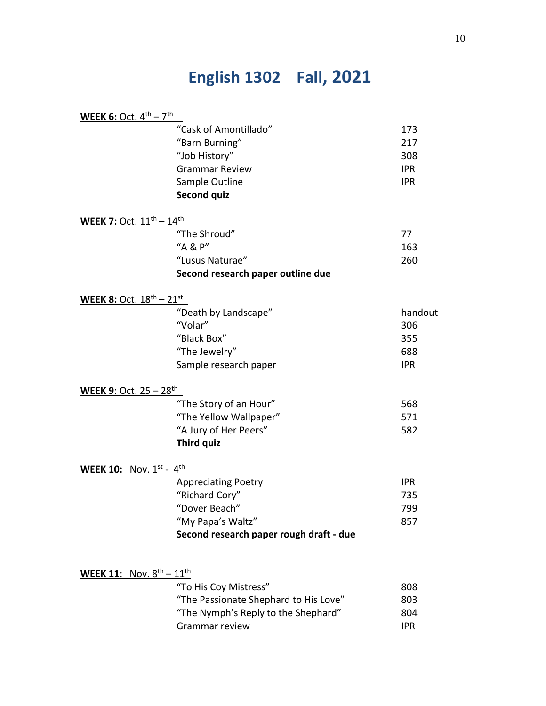# **English 1302 Fall, 2021**

| <b>WEEK 6:</b> Oct. $4^{\text{th}} - 7^{\text{th}}$   |                                         |            |
|-------------------------------------------------------|-----------------------------------------|------------|
|                                                       | "Cask of Amontillado"                   | 173        |
|                                                       | "Barn Burning"                          | 217        |
|                                                       | "Job History"                           | 308        |
|                                                       | <b>Grammar Review</b>                   | <b>IPR</b> |
|                                                       | Sample Outline                          | <b>IPR</b> |
|                                                       | <b>Second quiz</b>                      |            |
| <b>WEEK 7: Oct.</b> $11^{\text{th}} - 14^{\text{th}}$ |                                         |            |
|                                                       | "The Shroud"                            | 77         |
|                                                       | "A & P"                                 | 163        |
|                                                       | "Lusus Naturae"                         | 260        |
|                                                       | Second research paper outline due       |            |
| <b>WEEK 8: Oct.</b> $18^{th} - 21^{st}$               |                                         |            |
|                                                       | "Death by Landscape"                    | handout    |
|                                                       | "Volar"                                 | 306        |
|                                                       | "Black Box"                             | 355        |
|                                                       | "The Jewelry"                           | 688        |
|                                                       | Sample research paper                   | <b>IPR</b> |
| <b>WEEK 9: Oct. 25 - 28th</b>                         |                                         |            |
|                                                       | "The Story of an Hour"                  | 568        |
|                                                       | "The Yellow Wallpaper"                  | 571        |
|                                                       | "A Jury of Her Peers"                   | 582        |
|                                                       | <b>Third quiz</b>                       |            |
| <b>WEEK 10:</b> Nov. $1^{st} - 4^{th}$                |                                         |            |
|                                                       | <b>Appreciating Poetry</b>              | <b>IPR</b> |
|                                                       | "Richard Cory"                          | 735        |
|                                                       | "Dover Beach"                           | 799        |
|                                                       | "My Papa's Waltz"                       | 857        |
|                                                       | Second research paper rough draft - due |            |
|                                                       |                                         |            |
| <b>WEEK 11:</b> Nov. $8^{th} - 11^{th}$               | "To His Coy Mistress"                   | 808        |
|                                                       | "The Passionate Shephard to His Love"   | 803        |
|                                                       | "The Nymph's Reply to the Shephard"     | 804        |
|                                                       | Grammar review                          | <b>IPR</b> |